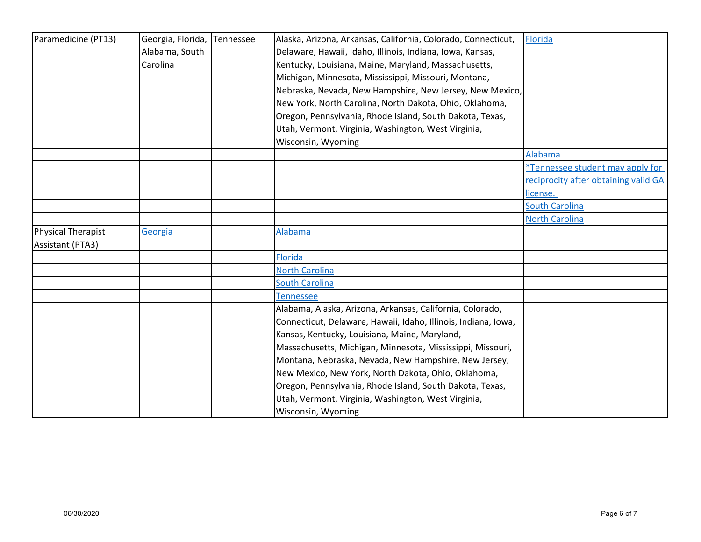| Paramedicine (PT13)       | Georgia, Florida, | Tennessee | Alaska, Arizona, Arkansas, California, Colorado, Connecticut,  | Florida                              |
|---------------------------|-------------------|-----------|----------------------------------------------------------------|--------------------------------------|
|                           | Alabama, South    |           | Delaware, Hawaii, Idaho, Illinois, Indiana, Iowa, Kansas,      |                                      |
|                           | Carolina          |           | Kentucky, Louisiana, Maine, Maryland, Massachusetts,           |                                      |
|                           |                   |           | Michigan, Minnesota, Mississippi, Missouri, Montana,           |                                      |
|                           |                   |           | Nebraska, Nevada, New Hampshire, New Jersey, New Mexico,       |                                      |
|                           |                   |           | New York, North Carolina, North Dakota, Ohio, Oklahoma,        |                                      |
|                           |                   |           | Oregon, Pennsylvania, Rhode Island, South Dakota, Texas,       |                                      |
|                           |                   |           | Utah, Vermont, Virginia, Washington, West Virginia,            |                                      |
|                           |                   |           | Wisconsin, Wyoming                                             |                                      |
|                           |                   |           |                                                                | Alabama                              |
|                           |                   |           |                                                                | *Tennessee student may apply for     |
|                           |                   |           |                                                                | reciprocity after obtaining valid GA |
|                           |                   |           |                                                                | license.                             |
|                           |                   |           |                                                                | <b>South Carolina</b>                |
|                           |                   |           |                                                                | <b>North Carolina</b>                |
| <b>Physical Therapist</b> | Georgia           |           | Alabama                                                        |                                      |
| Assistant (PTA3)          |                   |           |                                                                |                                      |
|                           |                   |           | <b>Florida</b>                                                 |                                      |
|                           |                   |           | <b>North Carolina</b>                                          |                                      |
|                           |                   |           | <b>South Carolina</b>                                          |                                      |
|                           |                   |           | Tennessee                                                      |                                      |
|                           |                   |           | Alabama, Alaska, Arizona, Arkansas, California, Colorado,      |                                      |
|                           |                   |           | Connecticut, Delaware, Hawaii, Idaho, Illinois, Indiana, Iowa, |                                      |
|                           |                   |           | Kansas, Kentucky, Louisiana, Maine, Maryland,                  |                                      |
|                           |                   |           | Massachusetts, Michigan, Minnesota, Mississippi, Missouri,     |                                      |
|                           |                   |           | Montana, Nebraska, Nevada, New Hampshire, New Jersey,          |                                      |
|                           |                   |           | New Mexico, New York, North Dakota, Ohio, Oklahoma,            |                                      |
|                           |                   |           | Oregon, Pennsylvania, Rhode Island, South Dakota, Texas,       |                                      |
|                           |                   |           | Utah, Vermont, Virginia, Washington, West Virginia,            |                                      |
|                           |                   |           | Wisconsin, Wyoming                                             |                                      |